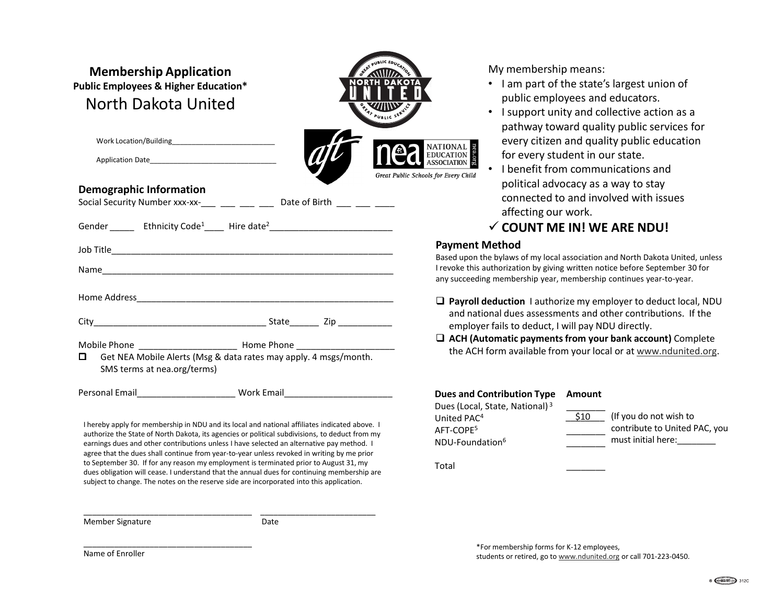| <b>Membership Application</b><br><b>Public Employees &amp; Higher Education*</b><br>North Dakota United |                                                                                                                                                                                                 | PUBLIC EDUCATION<br><b>ANIDA</b><br><b>NORTH DAKOTA</b><br>PRAY PUBLIC SERV |
|---------------------------------------------------------------------------------------------------------|-------------------------------------------------------------------------------------------------------------------------------------------------------------------------------------------------|-----------------------------------------------------------------------------|
|                                                                                                         |                                                                                                                                                                                                 | NATIONAL<br>EDUCATION<br>ASSOCIATION                                        |
| Application Date Application Date                                                                       |                                                                                                                                                                                                 | Great Public Schools for Every Child                                        |
| <b>Demographic Information</b>                                                                          |                                                                                                                                                                                                 |                                                                             |
|                                                                                                         | Social Security Number xxx-xx-___ ___ ___ ___ Date of Birth ___ __ ___ ___                                                                                                                      |                                                                             |
|                                                                                                         | Gender ________ Ethnicity Code <sup>1</sup> ______ Hire date <sup>2</sup> _____________________________                                                                                         |                                                                             |
|                                                                                                         |                                                                                                                                                                                                 | Payment                                                                     |
|                                                                                                         |                                                                                                                                                                                                 | Based upon<br>I revoke this                                                 |
|                                                                                                         |                                                                                                                                                                                                 | any succeed                                                                 |
|                                                                                                         |                                                                                                                                                                                                 | $\Box$ Payroll                                                              |
|                                                                                                         |                                                                                                                                                                                                 | and na                                                                      |
|                                                                                                         |                                                                                                                                                                                                 | employ                                                                      |
|                                                                                                         | Mobile Phone __________________________ Home Phone _____________________________                                                                                                                | $\Box$ ACH (A<br>the AC                                                     |
| О<br>SMS terms at nea.org/terms)                                                                        | Get NEA Mobile Alerts (Msg & data rates may apply. 4 msgs/month.                                                                                                                                |                                                                             |
|                                                                                                         |                                                                                                                                                                                                 | Dues and                                                                    |
|                                                                                                         | I hereby apply for membership in NDU and its local and national affiliates indicated above. I<br>authorize the State of North Dakota, its agencies or political subdivisions, to deduct from my | Dues (Loca<br>United PA<br>AFT-COPE <sup>5</sup>                            |

earnings dues and other contributions unless I have selected an alternative pay method. I agree that the dues shall continue from year-to-year unless revoked in writing by me prior to September 30. If for any reason my employment is terminated prior to August 31, my dues obligation will cease. I understand that the annual dues for continuing membership are subject to change. The notes on the reserve side are incorporated into this application.

\_\_\_\_\_\_\_\_\_\_\_\_\_\_\_\_\_\_\_\_\_\_\_\_\_\_\_\_\_\_\_\_\_\_\_\_\_\_ \_\_\_\_\_\_\_\_\_\_\_\_\_\_\_\_\_\_\_\_\_\_\_\_\_\_

Member Signature Date

\_\_\_\_\_\_\_\_\_\_\_\_\_\_\_\_\_\_\_\_\_\_\_\_\_\_\_\_\_\_\_\_\_\_\_\_\_\_

My membership means:

- I am part of the state's largest union of public employees and educators.
- I support unity and collective action as a pathway toward quality public services for every citizen and quality public education for every student in our state.
- I benefit from communications and political advocacy as a way to stay connected to and involved with issues affecting our work.
- **COUNT ME IN! WE ARE NDU!**

## **Payment Method**

Based upon the bylaws of my local association and North Dakota United, unless I revoke this authorization by giving written notice before September 30 for any succeeding membership year, membership continues year-to-year.

- **Payroll deduction** I authorize my employer to deduct local, NDU and national dues assessments and other contributions. If the employer fails to deduct, I will pay NDU directly.
- **ACH (Automatic payments from your bank account)** Complete the ACH form available from your local or at www.ndunited.org.

| <b>Dues and Contribution Type</b><br>Dues (Local, State, National) <sup>3</sup> | Amount |                                                         |
|---------------------------------------------------------------------------------|--------|---------------------------------------------------------|
| United PAC <sup>4</sup><br>AFT-COPE <sup>5</sup><br>NDU-Foundation <sup>6</sup> | S10 -  | (If you do not wish to<br>contribute to United PAC, you |
|                                                                                 |        | must initial here:                                      |

Total \_\_\_\_\_\_\_\_

\*For membership forms for K-12 employees, students or retired, go to www.ndunited.org or call 701-223-0450.

Name of Enroller